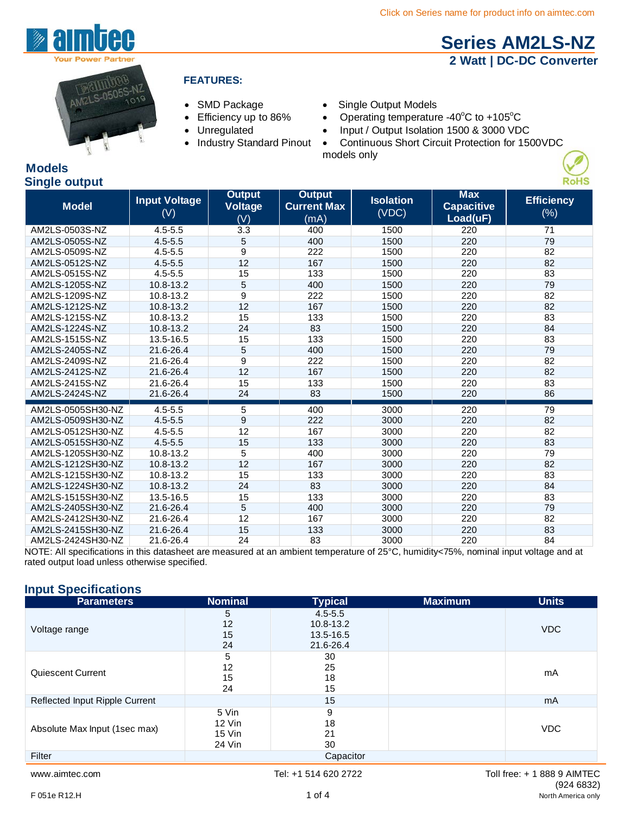**[Series AM2LS-NZ](http://www.aimtec.com/am2ls-nz) 2 Watt | DC-DC Converter**



**Models**

#### **FEATURES:**

- 
- 
- 
- 
- SMD Package Single Output Models
- Efficiency up to 86% Operating temperature -40 $\mathrm{^{\circ}C}$  to +105 $\mathrm{^{\circ}C}$ 
	- Unregulated Input / Output Isolation 1500 & 3000 VDC
	- Industry Standard Pinout Continuous Short Circuit Protection for 1500VDC models only

#### **Single output Model Input Voltage**  (V) **Output Voltage** (V) **Output Current Max**  (mA) **Isolation**  (VDC) **Max Capacitive Load(uF) Efficiency** (%) AM2LS-0503S-NZ 4.5-5.5 3.3 400 1500 220 71 AM2LS-0505S-NZ 4.5-5.5 5 400 1500 220 79 AM2LS-0509S-NZ 4.5-5.5 9 222 1500 220 82 AM2LS-0512S-NZ 4.5-5.5 12 167 1500 220 82 AM2LS-0515S-NZ 4.5-5.5 15 133 1500 220 33 AM2LS-1205S-NZ 10.8-13.2 5 400 1500 220 79 AM2LS-1209S-NZ 10.8-13.2 9 222 1500 220 82 AM2LS-1212S-NZ 10.8-13.2 12 167 1500 220 82 AM2LS-1215S-NZ 10.8-13.2 15 133 1500 220 83 AM2LS-1224S-NZ 10.8-13.2 24 83 1500 220 84 AM2LS-1515S-NZ 13.5-16.5 15 133 1500 220 83 AM2LS-2405S-NZ 21.6-26.4 5 400 1500 220 79 د 1500 1500 220 220 220 220 220 220 221 21.6-26.4 9 222 1500 220 220 220 82<br>AM2LS-2412S-NZ 21.6-26.4 12 167 1500 220 82 AM2LS-2412S-NZ AM2LS-2415S-NZ 21.6-26.4 15 133 1500 220 83 AM2LS-2424S-NZ 21.6-26.4 24 83 1500 220 86 AM2LS-0505SH30-NZ 4.5-5.5 5 400 3000 220 79 AM2LS-0509SH30-NZ 4.5-5.5 9 222 3000 220 220 82 AM2LS-0512SH30-NZ 4.5-5.5 12 167 3000 220 82 AM2LS-0515SH30-NZ 4.5-5.5 15 133 3000 220 83 AM2LS-1205SH30-NZ 10.8-13.2 5 400 3000 220 79 AM2LS-1212SH30-NZ 10.8-13.2 12 167 3000 220 82 AM2LS-1215SH30-NZ 10.8-13.2 15 133 3000 220 83 AM2LS-1224SH30-NZ 10.8-13.2 24 83 3000 220 84 AM2LS-1515SH30-NZ 13.5-16.5 15 133 3000 220 83<br>AM2LS-2405SH30-NZ 21.6-26.4 5 400 3000 220 79 AM2LS-2405SH30-NZ AM2LS-2412SH30-NZ 21.6-26.4 12 167 3000 220 82 AM2LS-2415SH30-NZ 21.6-26.4 15 133 3000 220 83 AM2LS-2424SH30-NZ 21.6-26.4 24 83 3000 220 84

NOTE: All specifications in this datasheet are measured at an ambient temperature of 25°C, humidity<75%, nominal input voltage and at rated output load unless otherwise specified.

#### **Input Specifications**

| <b>Parameters</b>              | <b>Nominal</b>                      | <b>Typical</b>                                     | <b>Maximum</b> | <b>Units</b>   |
|--------------------------------|-------------------------------------|----------------------------------------------------|----------------|----------------|
| Voltage range                  | 5<br>12<br>15<br>24                 | $4.5 - 5.5$<br>10.8-13.2<br>13.5-16.5<br>21.6-26.4 |                | <b>VDC</b>     |
| Quiescent Current              | 5<br>12<br>15<br>24                 | 30<br>25<br>18<br>15                               |                | mA             |
| Reflected Input Ripple Current |                                     | 15                                                 |                | m <sub>A</sub> |
| Absolute Max Input (1sec max)  | 5 Vin<br>12 Vin<br>15 Vin<br>24 Vin | 9<br>18<br>21<br>30                                |                | <b>VDC</b>     |
| Filter                         |                                     | Capacitor                                          |                |                |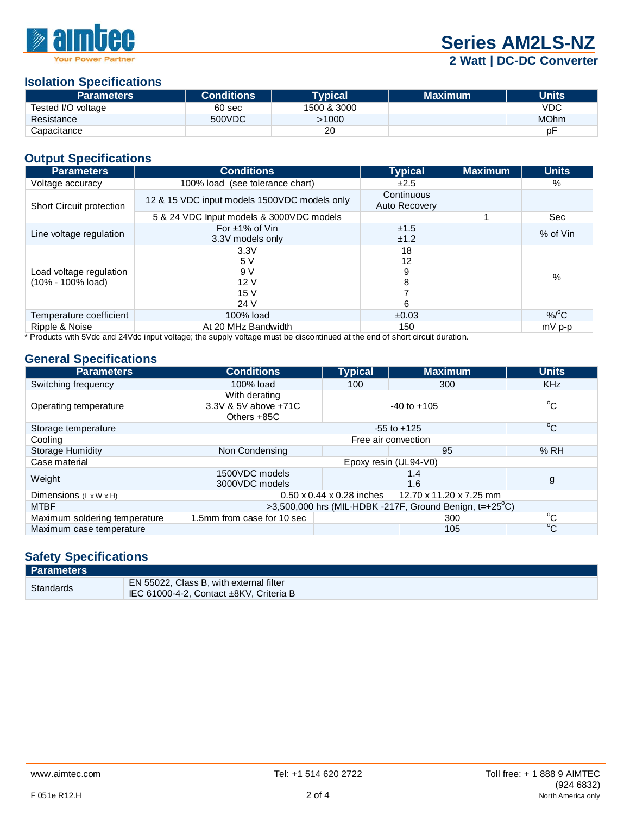

# **Series AM2LS-NZ**

### **2 Watt | DC-DC Converter**

### **Isolation Specifications**

| <b>Parameters</b>  | <b>Conditions</b> | <b>Typical</b> | <b>Maximum</b> | <b>Units</b> |
|--------------------|-------------------|----------------|----------------|--------------|
| Tested I/O voltage | 60 sec            | 1500 & 3000    |                | <b>VDC</b>   |
| Resistance         | 500VDC            | >1000          |                | <b>MOhm</b>  |
| Capacitance        |                   | 20             |                | рF           |

#### **Output Specifications**

| <b>Parameters</b>                            | <b>Conditions</b>                            | <b>Typical</b>              | <b>Maximum</b> | <b>Units</b> |
|----------------------------------------------|----------------------------------------------|-----------------------------|----------------|--------------|
| Voltage accuracy                             | 100% load (see tolerance chart)              | ±2.5                        |                | %            |
| <b>Short Circuit protection</b>              | 12 & 15 VDC input models 1500VDC models only | Continuous<br>Auto Recovery |                |              |
|                                              | 5 & 24 VDC Input models & 3000VDC models     |                             |                | Sec          |
| Line voltage regulation                      | For $\pm$ 1% of Vin<br>3.3V models only      | ±1.5<br>±1.2                |                | % of Vin     |
| Load voltage regulation<br>(10% - 100% load) | 3.3V<br>5 V<br>9 V<br>12V<br>15V<br>24 V     | 18<br>12<br>9<br>8<br>6     |                | %            |
| Temperature coefficient                      | 100% load                                    | ±0.03                       |                | $%^{\circ}C$ |
| Ripple & Noise                               | At 20 MHz Bandwidth                          | 150                         |                | $mV$ p-p     |

\* Products with 5Vdc and 24Vdc input voltage; the supply voltage must be discontinued at the end of short circuit duration.

#### **General Specifications**

| <b>Parameters</b>                  | <b>Conditions</b>                                             | <b>Typical</b>      | <b>Maximum</b>                                                    | <b>Units</b> |  |
|------------------------------------|---------------------------------------------------------------|---------------------|-------------------------------------------------------------------|--------------|--|
| Switching frequency                | 100% load                                                     | 100                 | 300                                                               | <b>KHz</b>   |  |
| Operating temperature              | With derating<br>3.3V & 5V above +71C<br>Others +85C          |                     | $-40$ to $+105$                                                   | $^{\circ}$ C |  |
| Storage temperature                |                                                               |                     | $-55$ to $+125$                                                   | $\rm ^{o}C$  |  |
| Cooling                            |                                                               | Free air convection |                                                                   |              |  |
| <b>Storage Humidity</b>            | Non Condensing                                                |                     | 95                                                                | %RH          |  |
| Case material                      |                                                               |                     | Epoxy resin (UL94-V0)                                             |              |  |
| Weight                             | 1500VDC models<br>3000VDC models                              |                     | 1.4<br>1.6                                                        | g            |  |
| Dimensions $(L \times W \times H)$ | $0.50 \times 0.44 \times 0.28$ inches 12.70 x 11.20 x 7.25 mm |                     |                                                                   |              |  |
| <b>MTBF</b>                        |                                                               |                     | >3,500,000 hrs (MIL-HDBK -217F, Ground Benign, $t=+25^{\circ}$ C) |              |  |
| Maximum soldering temperature      | 1.5mm from case for 10 sec                                    |                     | 300                                                               | °C           |  |
| Maximum case temperature           |                                                               |                     | 105                                                               | $^{\circ}$ C |  |

#### **Safety Specifications**

| Parameters |                                                                                    |
|------------|------------------------------------------------------------------------------------|
| Standards  | EN 55022, Class B, with external filter<br>IEC 61000-4-2, Contact ±8KV, Criteria B |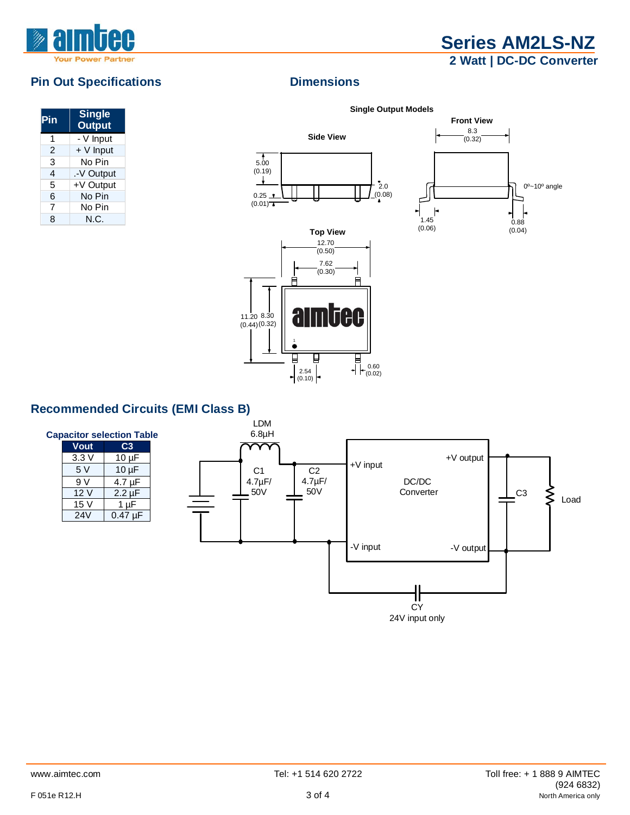

## **Series AM2LS-NZ 2 Watt | DC-DC Converter**

#### **Pin Out Specifications Dimensions**

| Pin | <b>Single</b><br><b>Output</b> |
|-----|--------------------------------|
| 1   | $\overline{-}$ V Input         |
| 2   | + V Input                      |
| 3   | No Pin                         |
| 4   | .-V Output                     |
| 5   | +V Output                      |
| 6   | No Pin                         |
| 7   | No Pin                         |
| 8   | N.C.                           |

**Single Output Models**



2.54  $\left| \begin{matrix} \end{matrix} \right|$   $\left| \begin{matrix} \begin{matrix} 0.60 \\ 0.02 \end{matrix} \end{matrix} \right|$ 

 $\begin{array}{c|c} 2.54 \\ \hline (0.10) \end{array}$ 



#### **Recommended Circuits (EMI Class B)**

| <b>Capacitor selection Table</b> |             |              |  |  |
|----------------------------------|-------------|--------------|--|--|
|                                  | <b>Vout</b> | C3           |  |  |
|                                  | 3.3V        | $10 \mu F$   |  |  |
|                                  | 5V          | $10 \mu F$   |  |  |
|                                  | 9V          | 4.7 µF       |  |  |
|                                  | 12V         | $2.2 \mu F$  |  |  |
|                                  | 15 V        | $1 \mu F$    |  |  |
|                                  | 24V         | $0.47 \mu F$ |  |  |
|                                  |             |              |  |  |